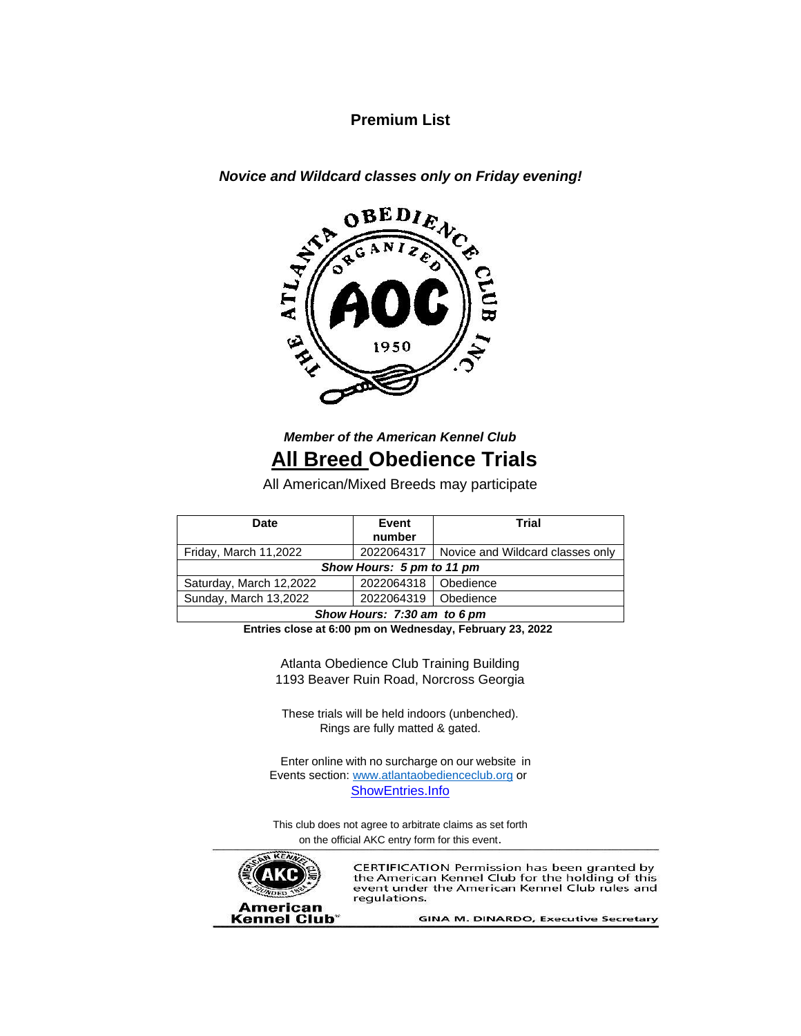## **Premium List**

*Novice and Wildcard classes only on Friday evening!* 



# *Member of the American Kennel Club*  **All Breed Obedience Trials**

All American/Mixed Breeds may participate

| Date                                               | Event      | Trial                            |  |  |  |
|----------------------------------------------------|------------|----------------------------------|--|--|--|
|                                                    | number     |                                  |  |  |  |
| Friday, March 11,2022                              | 2022064317 | Novice and Wildcard classes only |  |  |  |
| Show Hours: 5 pm to 11 pm                          |            |                                  |  |  |  |
| 2022064318<br>Obedience<br>Saturday, March 12,2022 |            |                                  |  |  |  |
| Sunday, March 13,2022<br>2022064319   Obedience    |            |                                  |  |  |  |
| Show Hours: 7:30 am to 6 pm                        |            |                                  |  |  |  |

**Entries close at 6:00 pm on Wednesday, February 23, 2022**

Atlanta Obedience Club Training Building 1193 Beaver Ruin Road, Norcross Georgia

These trials will be held indoors (unbenched). Rings are fully matted & gated.

Enter online with no surcharge on our website in Events section[: www.atlantaobedienceclub.org](http://www.atlantaobedienceclub.org/) or **[ShowEntries.Info](https://showentries.info/aoc/)** 

This club does not agree to arbitrate claims as set forth on the official AKC entry form for this event.



CERTIFICATION Permission has been granted by<br>the American Kennel Club for the holding of this<br>event under the American Kennel Club rules and regulations.

**GINA M. DINARDO, Executive Secretary**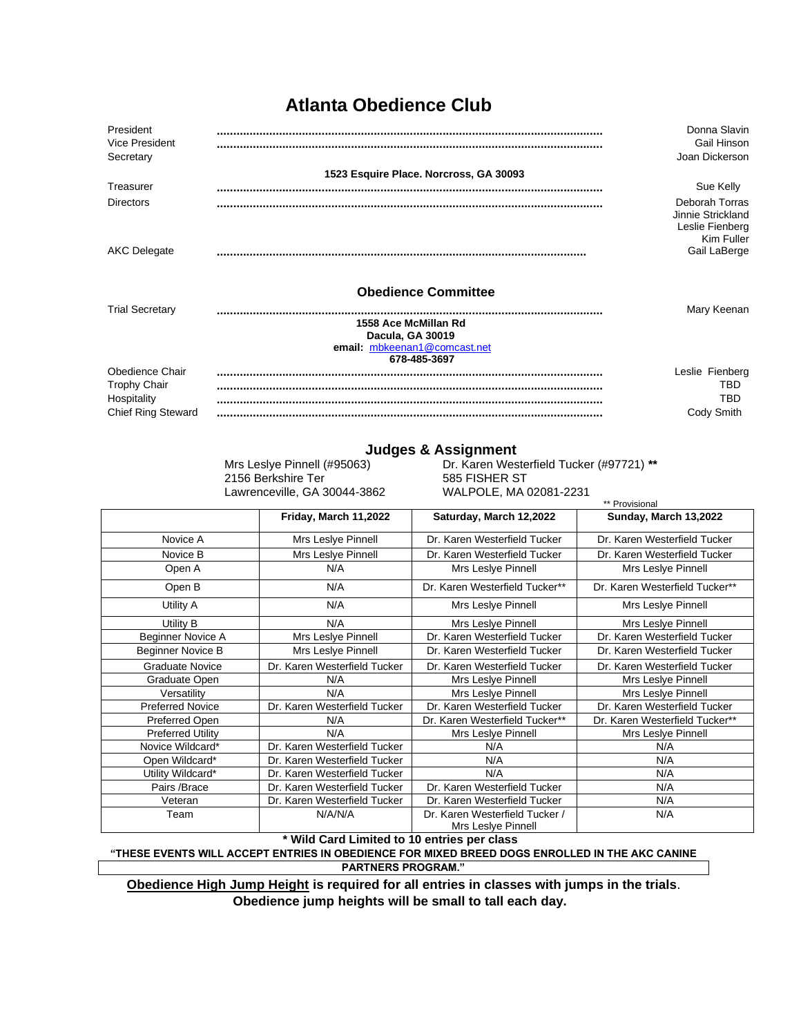# **Atlanta Obedience Club**

| President<br>Vice President<br>Secretary |                                                                                          | Donna Slavin<br>Gail Hinson<br>Joan Dickerson          |
|------------------------------------------|------------------------------------------------------------------------------------------|--------------------------------------------------------|
|                                          | 1523 Esquire Place. Norcross, GA 30093                                                   |                                                        |
| Treasurer                                |                                                                                          | Sue Kelly                                              |
| <b>Directors</b>                         |                                                                                          | Deborah Torras<br>Jinnie Strickland<br>Leslie Fienberg |
| <b>AKC Delegate</b>                      |                                                                                          | Kim Fuller<br>Gail LaBerge                             |
|                                          | <b>Obedience Committee</b>                                                               |                                                        |
| <b>Trial Secretary</b>                   | 1558 Ace McMillan Rd<br>Dacula, GA 30019<br>email: mbkeenan1@comcast.net<br>678-485-3697 | Mary Keenan                                            |
| Obedience Chair                          |                                                                                          | Leslie Fienberg                                        |
| <b>Trophy Chair</b>                      |                                                                                          | TBD                                                    |
| Hospitality                              |                                                                                          | TBD                                                    |
| <b>Chief Ring Steward</b>                |                                                                                          | Cody Smith                                             |

| Judges & Assignment |  |  |  |
|---------------------|--|--|--|
|---------------------|--|--|--|

Mrs Leslye Pinnell (#95063) 2156 Berkshire Ter Lawrenceville, GA 30044-3862 Dr. Karen Westerfield Tucker (#97721) **\*\*** 585 FISHER ST WALPOLE, MA 02081-2231 \*\* Provisional

|                          | Friday, March 11,2022        | Saturday, March 12,2022                              | ΓΙΟνιδιντιαι<br>Sunday, March 13,2022 |
|--------------------------|------------------------------|------------------------------------------------------|---------------------------------------|
| Novice A                 | Mrs Leslye Pinnell           | Dr. Karen Westerfield Tucker                         | Dr. Karen Westerfield Tucker          |
| Novice B                 | Mrs Leslye Pinnell           | Dr. Karen Westerfield Tucker                         | Dr. Karen Westerfield Tucker          |
| Open A                   | N/A                          | Mrs Leslye Pinnell                                   | Mrs Leslye Pinnell                    |
| Open B                   | N/A                          | Dr. Karen Westerfield Tucker**                       | Dr. Karen Westerfield Tucker**        |
| Utility A                | N/A                          | Mrs Leslye Pinnell                                   | Mrs Leslye Pinnell                    |
| Utility B                | N/A                          | Mrs Leslye Pinnell                                   | Mrs Leslye Pinnell                    |
| Beginner Novice A        | Mrs Leslye Pinnell           | Dr. Karen Westerfield Tucker                         | Dr. Karen Westerfield Tucker          |
| Beginner Novice B        | Mrs Leslye Pinnell           | Dr. Karen Westerfield Tucker                         | Dr. Karen Westerfield Tucker          |
| <b>Graduate Novice</b>   | Dr. Karen Westerfield Tucker | Dr. Karen Westerfield Tucker                         | Dr. Karen Westerfield Tucker          |
| Graduate Open            | N/A                          | Mrs Leslye Pinnell                                   | Mrs Leslye Pinnell                    |
| Versatility              | N/A                          | Mrs Leslye Pinnell                                   | Mrs Leslye Pinnell                    |
| <b>Preferred Novice</b>  | Dr. Karen Westerfield Tucker | Dr. Karen Westerfield Tucker                         | Dr. Karen Westerfield Tucker          |
| Preferred Open           | N/A                          | Dr. Karen Westerfield Tucker**                       | Dr. Karen Westerfield Tucker**        |
| <b>Preferred Utility</b> | N/A                          | Mrs Leslye Pinnell                                   | Mrs Leslye Pinnell                    |
| Novice Wildcard*         | Dr. Karen Westerfield Tucker | N/A                                                  | N/A                                   |
| Open Wildcard*           | Dr. Karen Westerfield Tucker | N/A                                                  | N/A                                   |
| Utility Wildcard*        | Dr. Karen Westerfield Tucker | N/A                                                  | N/A                                   |
| Pairs /Brace             | Dr. Karen Westerfield Tucker | Dr. Karen Westerfield Tucker                         | N/A                                   |
| Veteran                  | Dr. Karen Westerfield Tucker | Dr. Karen Westerfield Tucker                         | N/A                                   |
| Team                     | N/A/N/A                      | Dr. Karen Westerfield Tucker /<br>Mrs Leslye Pinnell | N/A                                   |

**\* Wild Card Limited to 10 entries per class** 

**"THESE EVENTS WILL ACCEPT ENTRIES IN OBEDIENCE FOR MIXED BREED DOGS ENROLLED IN THE AKC CANINE** 

**PARTNERS PROGRAM."** 

**Obedience High Jump Height is required for all entries in classes with jumps in the trials**. **Obedience jump heights will be small to tall each day.**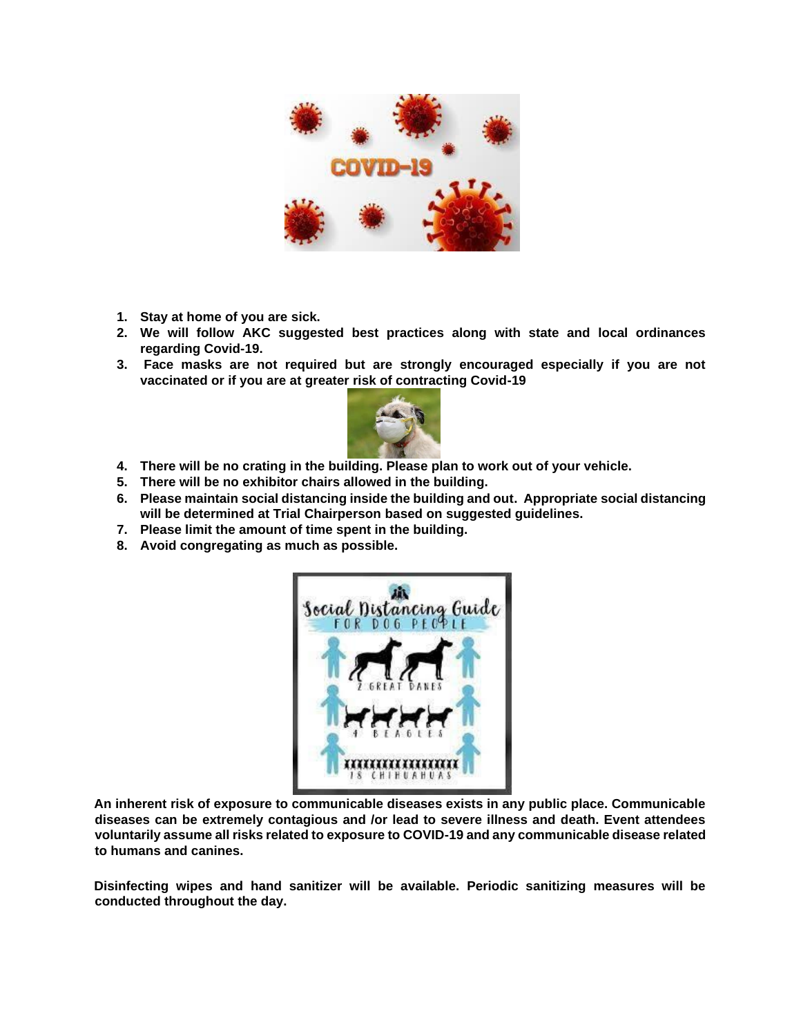

- **1. Stay at home of you are sick.**
- **2. We will follow AKC suggested best practices along with state and local ordinances regarding Covid-19.**
- **3. Face masks are not required but are strongly encouraged especially if you are not vaccinated or if you are at greater risk of contracting Covid-19**



- **4. There will be no crating in the building. Please plan to work out of your vehicle.**
- **5. There will be no exhibitor chairs allowed in the building.**
- **6. Please maintain social distancing inside the building and out. Appropriate social distancing will be determined at Trial Chairperson based on suggested guidelines.**
- **7. Please limit the amount of time spent in the building.**
- **8. Avoid congregating as much as possible.**



**An inherent risk of exposure to communicable diseases exists in any public place. Communicable diseases can be extremely contagious and /or lead to severe illness and death. Event attendees voluntarily assume all risks related to exposure to COVID-19 and any communicable disease related to humans and canines.** 

**Disinfecting wipes and hand sanitizer will be available. Periodic sanitizing measures will be conducted throughout the day.**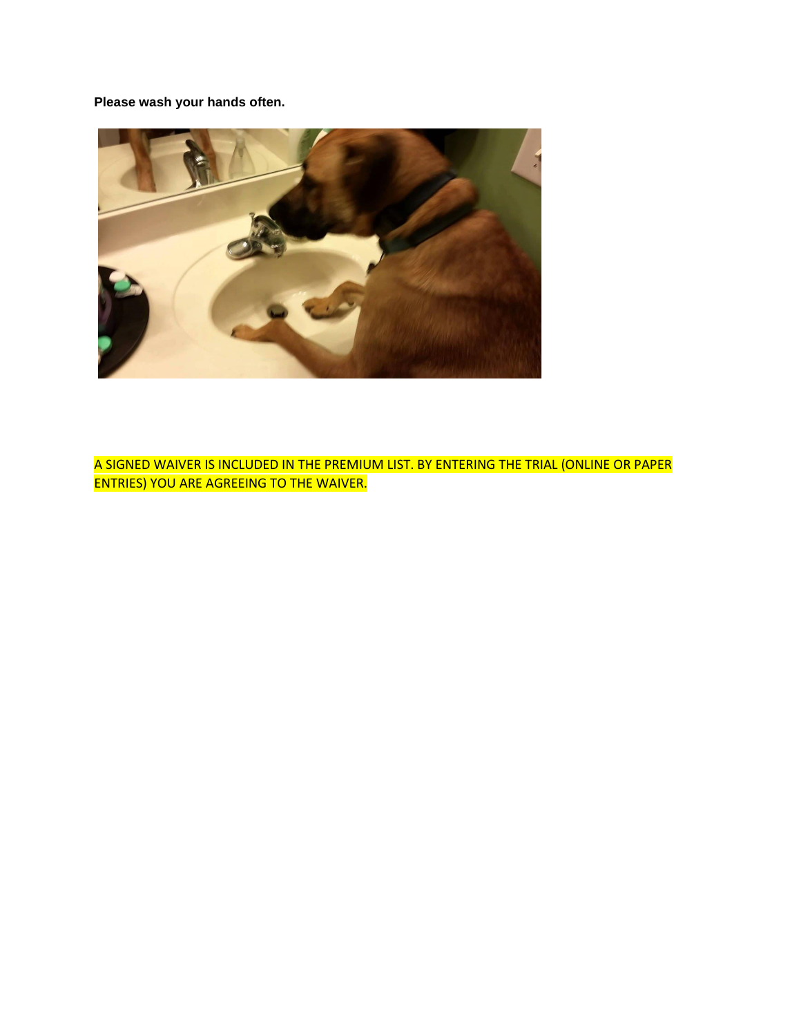**Please wash your hands often.** 



A SIGNED WAIVER IS INCLUDED IN THE PREMIUM LIST. BY ENTERING THE TRIAL (ONLINE OR PAPER ENTRIES) YOU ARE AGREEING TO THE WAIVER.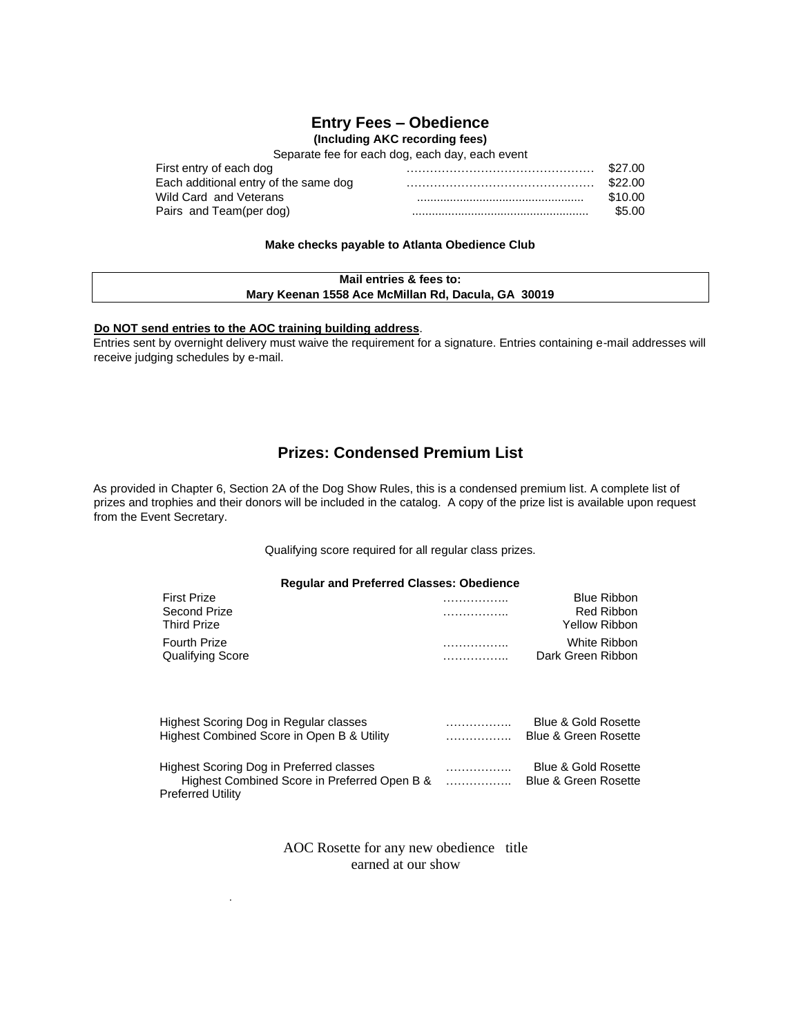## **Entry Fees – Obedience**

#### **(Including AKC recording fees)**

Separate fee for each dog, each day, each event

| First entry of each dog               | \$27.00 |
|---------------------------------------|---------|
| Each additional entry of the same dog | \$22.00 |
| Wild Card and Veterans                | \$10.00 |
| Pairs and Team(per dog)               | \$5.00  |

#### **Make checks payable to Atlanta Obedience Club**

#### **Mail entries & fees to: Mary Keenan 1558 Ace McMillan Rd, Dacula, GA 30019**

#### **Do NOT send entries to the AOC training building address**.

.

Entries sent by overnight delivery must waive the requirement for a signature. Entries containing e-mail addresses will receive judging schedules by e-mail.

## **Prizes: Condensed Premium List**

As provided in Chapter 6, Section 2A of the Dog Show Rules, this is a condensed premium list. A complete list of prizes and trophies and their donors will be included in the catalog. A copy of the prize list is available upon request from the Event Secretary.

Qualifying score required for all regular class prizes.

#### **Regular and Preferred Classes: Obedience**

| <b>First Prize</b>  | . | <b>Blue Ribbon</b> |
|---------------------|---|--------------------|
| Second Prize        | . | Red Ribbon         |
| Third Prize         |   | Yellow Ribbon      |
| <b>Fourth Prize</b> | . | White Ribbon       |
| Qualifying Score    | . | Dark Green Ribbon  |
|                     |   |                    |

| Highest Scoring Dog in Regular classes                                                                               | . | Blue & Gold Rosette                         |
|----------------------------------------------------------------------------------------------------------------------|---|---------------------------------------------|
| Highest Combined Score in Open B & Utility                                                                           | . | Blue & Green Rosette                        |
| Highest Scoring Dog in Preferred classes<br>Highest Combined Score in Preferred Open B &<br><b>Preferred Utility</b> | . | Blue & Gold Rosette<br>Blue & Green Rosette |

AOC Rosette for any new obedience title earned at our show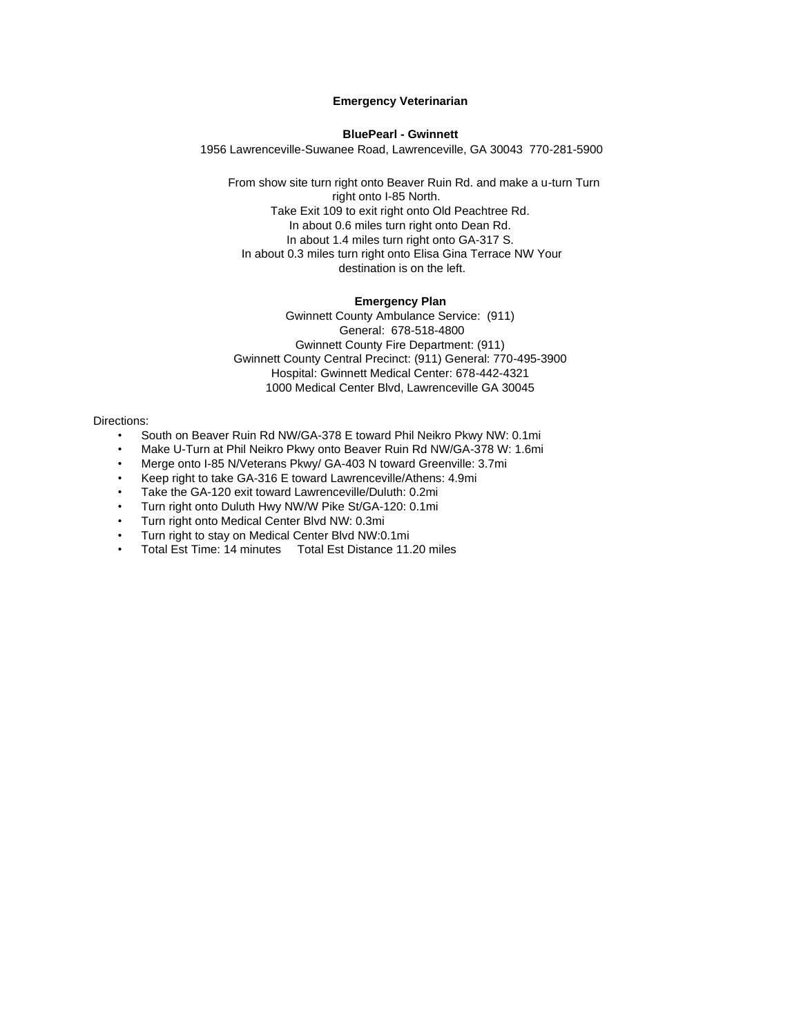#### **Emergency Veterinarian**

#### **BluePearl - Gwinnett**

1956 Lawrenceville-Suwanee Road, Lawrenceville, GA 30043 770-281-5900

From show site turn right onto Beaver Ruin Rd. and make a u-turn Turn right onto I-85 North. Take Exit 109 to exit right onto Old Peachtree Rd. In about 0.6 miles turn right onto Dean Rd. In about 1.4 miles turn right onto GA-317 S. In about 0.3 miles turn right onto Elisa Gina Terrace NW Your destination is on the left.

#### **Emergency Plan**

Gwinnett County Ambulance Service: (911) General: 678-518-4800 Gwinnett County Fire Department: (911) Gwinnett County Central Precinct: (911) General: 770-495-3900 Hospital: Gwinnett Medical Center: 678-442-4321 1000 Medical Center Blvd, Lawrenceville GA 30045

#### Directions:

- South on Beaver Ruin Rd NW/GA-378 E toward Phil Neikro Pkwy NW: 0.1mi
- Make U-Turn at Phil Neikro Pkwy onto Beaver Ruin Rd NW/GA-378 W: 1.6mi
- Merge onto I-85 N/Veterans Pkwy/ GA-403 N toward Greenville: 3.7mi
- Keep right to take GA-316 E toward Lawrenceville/Athens: 4.9mi
- Take the GA-120 exit toward Lawrenceville/Duluth: 0.2mi
- Turn right onto Duluth Hwy NW/W Pike St/GA-120: 0.1mi
- Turn right onto Medical Center Blvd NW: 0.3mi
- Turn right to stay on Medical Center Blvd NW:0.1mi
- Total Est Time: 14 minutes Total Est Distance 11.20 miles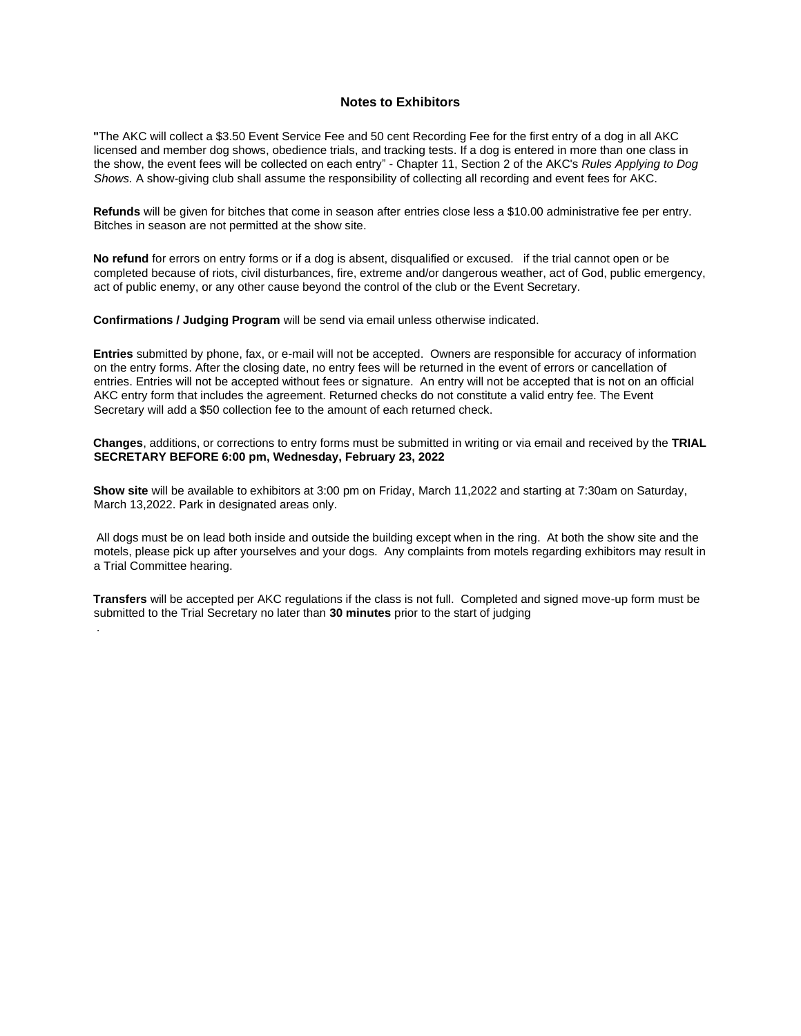#### **Notes to Exhibitors**

**"**The AKC will collect a \$3.50 Event Service Fee and 50 cent Recording Fee for the first entry of a dog in all AKC licensed and member dog shows, obedience trials, and tracking tests. If a dog is entered in more than one class in the show, the event fees will be collected on each entry" - Chapter 11, Section 2 of the AKC's *Rules Applying to Dog Shows.* A show-giving club shall assume the responsibility of collecting all recording and event fees for AKC.

**Refunds** will be given for bitches that come in season after entries close less a \$10.00 administrative fee per entry. Bitches in season are not permitted at the show site.

**No refund** for errors on entry forms or if a dog is absent, disqualified or excused. if the trial cannot open or be completed because of riots, civil disturbances, fire, extreme and/or dangerous weather, act of God, public emergency, act of public enemy, or any other cause beyond the control of the club or the Event Secretary.

**Confirmations / Judging Program** will be send via email unless otherwise indicated.

.

**Entries** submitted by phone, fax, or e-mail will not be accepted. Owners are responsible for accuracy of information on the entry forms. After the closing date, no entry fees will be returned in the event of errors or cancellation of entries. Entries will not be accepted without fees or signature. An entry will not be accepted that is not on an official AKC entry form that includes the agreement. Returned checks do not constitute a valid entry fee. The Event Secretary will add a \$50 collection fee to the amount of each returned check.

**Changes**, additions, or corrections to entry forms must be submitted in writing or via email and received by the **TRIAL SECRETARY BEFORE 6:00 pm, Wednesday, February 23, 2022**

**Show site** will be available to exhibitors at 3:00 pm on Friday, March 11,2022 and starting at 7:30am on Saturday, March 13,2022. Park in designated areas only.

All dogs must be on lead both inside and outside the building except when in the ring. At both the show site and the motels, please pick up after yourselves and your dogs. Any complaints from motels regarding exhibitors may result in a Trial Committee hearing.

**Transfers** will be accepted per AKC regulations if the class is not full. Completed and signed move-up form must be submitted to the Trial Secretary no later than **30 minutes** prior to the start of judging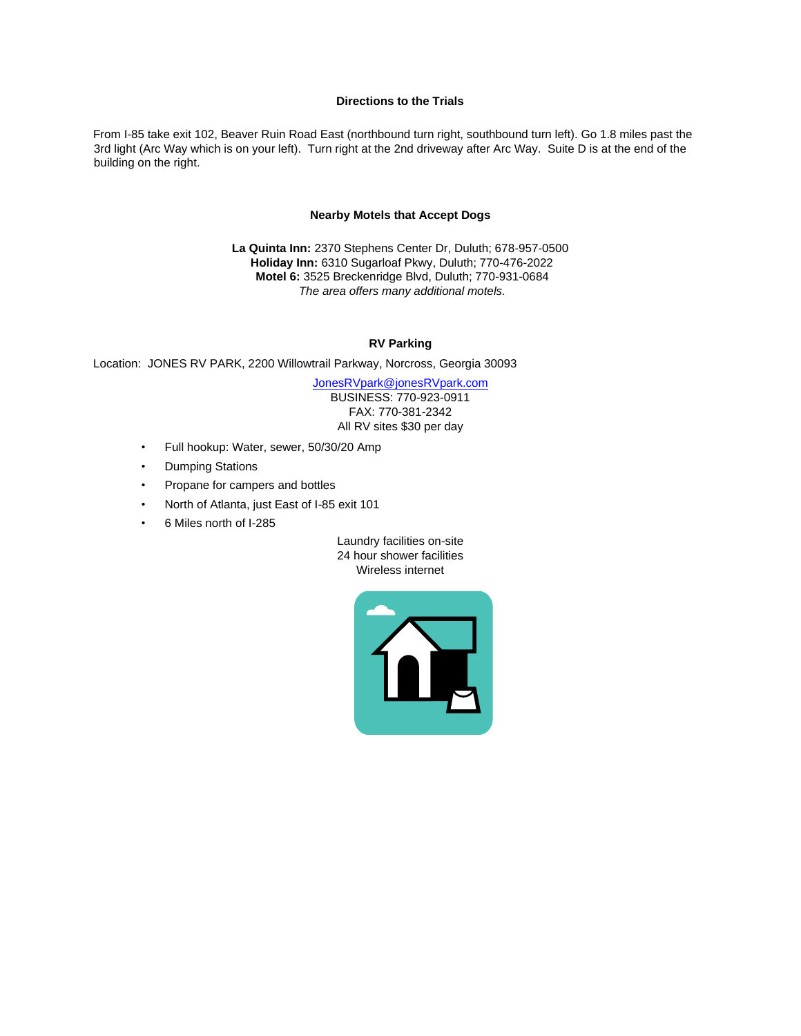#### **Directions to the Trials**

From I-85 take exit 102, Beaver Ruin Road East (northbound turn right, southbound turn left). Go 1.8 miles past the 3rd light (Arc Way which is on your left). Turn right at the 2nd driveway after Arc Way. Suite D is at the end of the building on the right.

#### **Nearby Motels that Accept Dogs**

**La Quinta Inn:** 2370 Stephens Center Dr, Duluth; 678-957-0500 **Holiday Inn:** 6310 Sugarloaf Pkwy, Duluth; 770-476-2022 **Motel 6:** 3525 Breckenridge Blvd, Duluth; 770-931-0684 *The area offers many additional motels.* 

#### **RV Parking**

Location: JONES RV PARK, 2200 Willowtrail Parkway, Norcross, Georgia 30093

JonesRVpark@jonesRVpark.com BUSINESS: 770-923-0911 FAX: 770-381-2342 All RV sites \$30 per day

- Full hookup: Water, sewer, 50/30/20 Amp
- Dumping Stations
- Propane for campers and bottles
- North of Atlanta, just East of I-85 exit 101
- 6 Miles north of I-285

Laundry facilities on-site 24 hour shower facilities Wireless internet

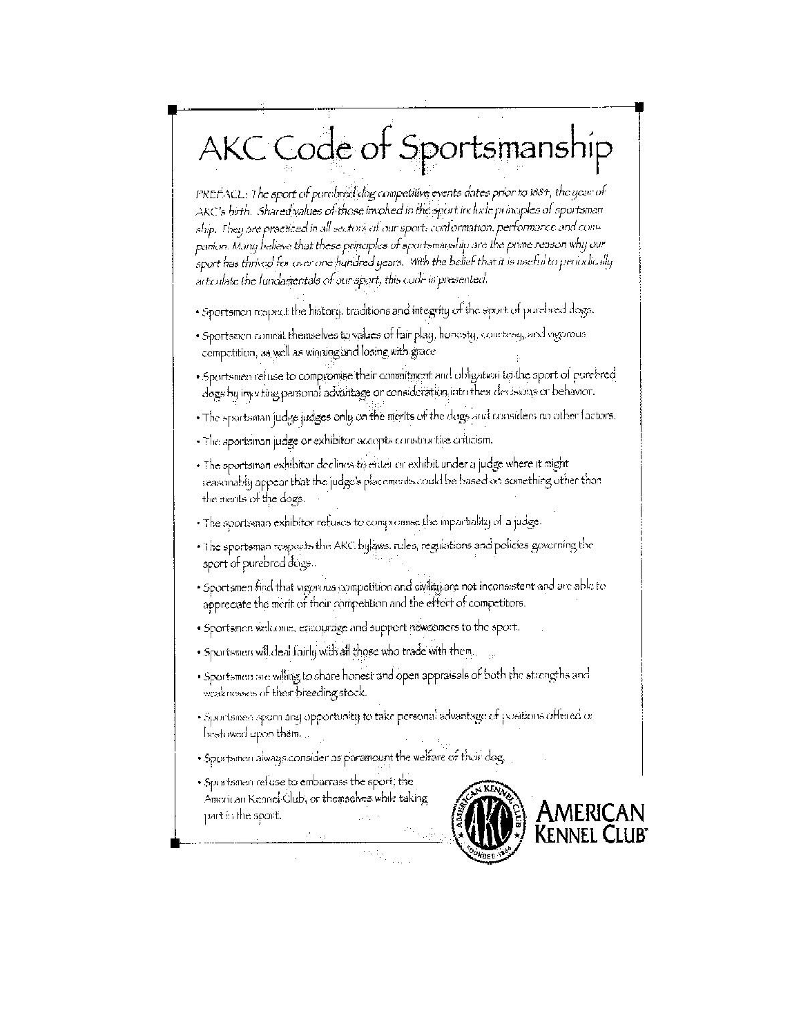# AKC Code of Sportsmanship

FREEACL: The sport of purchasil dog competitive events dates prior to 1884, the year of AKC's birth. Shared values of those involved in the sport include principles of sportsman ship. They are practiced in all scutors of our sport, conformation, performance and compartion. Many believe that these principles of sportsmanship are the prime reason why our sport has thrived for over one hundred years. With the belief that it is useful to periodically articulate the fundamentals of our sport, this code is presented.

- . Sportsmen respect the history, traditions and integrity of the sport of purelated dogs.
- . Sportsmen commit themselves to values of fair play, honesty, courtessy, and vigorous competition, as well as winning and losing with grace
- . Sportsmen refuse to compromise their commitment and obligation to the sport of purebred dogs by injecting personal advantage or consideration into their decisions or behavior.
- . The sportsman judge judges only on the merits of the dogs and considers no other factors.
- . The sportsman judge or exhibitor accepts constantlive criticism.
- . The sportsman exhibitor declines to exite tor exhibit under a judge where it might reasonably appear that the judge's placements could be based on something other than the ments of the dogs.
- . The sportsman exhibitor refuses to compromise the impartiality of a judge.
- . The sportsman respects the AKC bylaws, rules, regulations and policies governing the sport of purebred dogs...
- . Sportsmen find that vigorous competition and owlidy are not inconsistent and are able to appreciate the merit of their competition and the effort of competitors.
- . Sportsmon welcome, encourage and support newcomers to the sport.
- . Sportsmore will deal fairly with all those who trade with them .
- · Sportsmen me willing to share honest and open appraisals of both the strengths and weaknesses of their breeding stock.
- . Sportsmen sporm any opportunity to take personal advantage of positions offered  $\alpha$ bestowed upon them...
- . Sportsmen always consider as paramount the welfare of their dog.

 $\sim$   $\sim$ 

 $\bullet$  Speatsmen refuse to embarrass the sport; the American Kennel Club, or themselves while taking part in the sport.

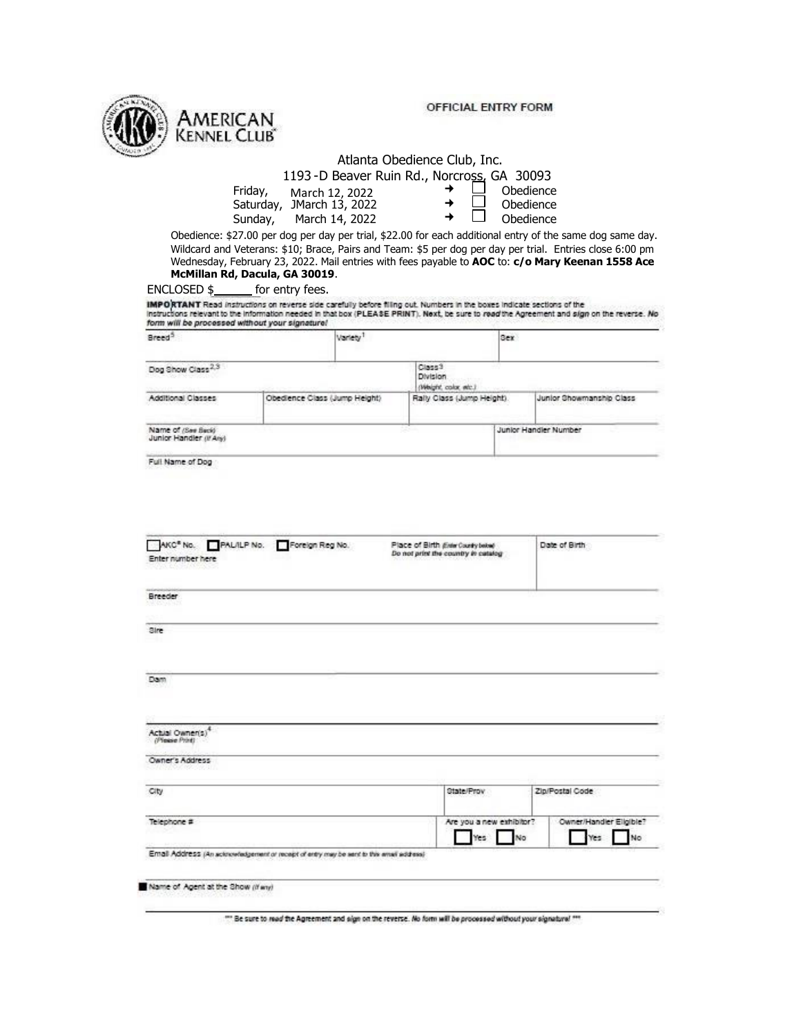

#### OFFICIAL ENTRY FORM

| Friday,                                                         | 1193 - D Beaver Ruin Rd., Norcross, GA 30093<br>March 12, 2022                                                         | →                                                        |                                    |                                                                                                                                                                                                              |
|-----------------------------------------------------------------|------------------------------------------------------------------------------------------------------------------------|----------------------------------------------------------|------------------------------------|--------------------------------------------------------------------------------------------------------------------------------------------------------------------------------------------------------------|
|                                                                 | Saturday, JMarch 13, 2022                                                                                              | →                                                        |                                    | Obedience<br>Obedience                                                                                                                                                                                       |
|                                                                 | Sunday, March 14, 2022                                                                                                 |                                                          |                                    | Obedience                                                                                                                                                                                                    |
|                                                                 |                                                                                                                        |                                                          |                                    | Obedience: \$27.00 per dog per day per trial, \$22.00 for each additional entry of the same dog same day.                                                                                                    |
|                                                                 |                                                                                                                        |                                                          |                                    | Wildcard and Veterans: \$10; Brace, Pairs and Team: \$5 per dog per day per trial. Entries close 6:00 pm<br>Wednesday, February 23, 2022. Mail entries with fees payable to AOC to: c/o Mary Keenan 1558 Ace |
| McMillan Rd, Dacula, GA 30019.<br>$ENCLOSED$ \$ for entry fees. |                                                                                                                        |                                                          |                                    |                                                                                                                                                                                                              |
| form will be processed without your signature!                  | IMPORTANT Read instructions on reverse side carefully before filing out. Numbers in the boxes indicate sections of the |                                                          |                                    | instructions relevant to the information needed in that box (PLEASE PRINT). Next, be sure to read the Agreement and sign on the reverse. No                                                                  |
| Breed <sup>5</sup>                                              | Variety <sup>1</sup>                                                                                                   |                                                          | Sex                                |                                                                                                                                                                                                              |
| Dog Show Class <sup>2,3</sup>                                   |                                                                                                                        | Class <sup>3</sup><br>Division.<br>(Weight, color, wic.) |                                    |                                                                                                                                                                                                              |
| Additional Classes                                              | Obedience Class (Jump Height)                                                                                          | Rally Class (Jump Height).                               |                                    | Junior Showmanship Class                                                                                                                                                                                     |
| Name of (See Back)<br>Junior Handler (If Ars)                   |                                                                                                                        |                                                          |                                    | Junior Handler Number                                                                                                                                                                                        |
| Full Name of Dog                                                |                                                                                                                        |                                                          |                                    |                                                                                                                                                                                                              |
| Enter number here                                               |                                                                                                                        | Do not print the country in catalog                      |                                    |                                                                                                                                                                                                              |
| Breeder                                                         |                                                                                                                        |                                                          |                                    |                                                                                                                                                                                                              |
| Sire                                                            |                                                                                                                        |                                                          |                                    |                                                                                                                                                                                                              |
|                                                                 |                                                                                                                        |                                                          |                                    |                                                                                                                                                                                                              |
| Dam                                                             |                                                                                                                        |                                                          |                                    |                                                                                                                                                                                                              |
| Actual Owner(s) <sup>4</sup>                                    |                                                                                                                        |                                                          |                                    |                                                                                                                                                                                                              |
| (Please Print)<br>Owner's Address                               |                                                                                                                        |                                                          |                                    |                                                                                                                                                                                                              |
|                                                                 |                                                                                                                        |                                                          |                                    |                                                                                                                                                                                                              |
| City                                                            |                                                                                                                        |                                                          | State/Prov                         | Zip/Postal Code                                                                                                                                                                                              |
| Telephone #                                                     |                                                                                                                        |                                                          | Are you a new exhibitor?<br>Yes No | Owner/Handler Eligible?<br>No<br>Yes                                                                                                                                                                         |
|                                                                 | Email Address (An actroveladgement or recept of entry may be sent to this what address)                                |                                                          |                                    |                                                                                                                                                                                                              |
| Name of Agent at the Show (if any)                              |                                                                                                                        |                                                          |                                    |                                                                                                                                                                                                              |
|                                                                 |                                                                                                                        |                                                          |                                    |                                                                                                                                                                                                              |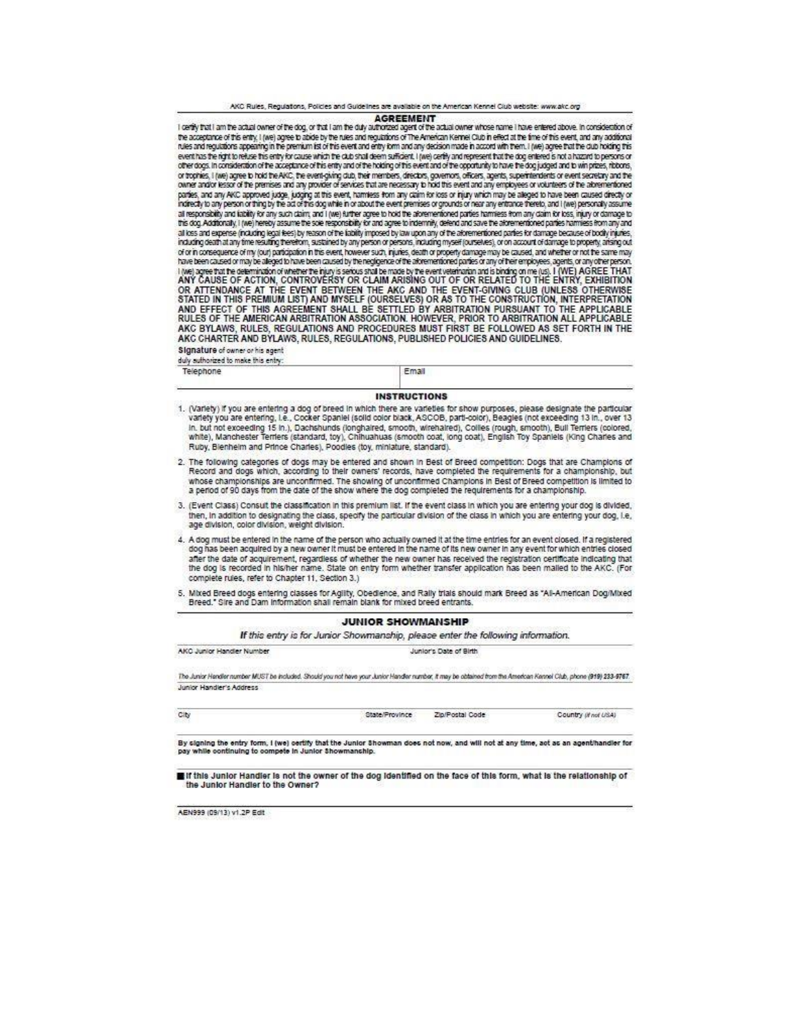#### AKC Rules, Regulations, Policies and Guidelines are available on the American Kennel Club website: www.akc.org **AGREEMENT**

I certify that I am the actual owner of the dog, or that I am the duty authorized agent of the actual owner whose name I have entered above. In consideration of the acceptance of this entry, I (we) agree to abide by the rules and regulations of The American Kennel Club in effect at the time of this event, and any additional rules and regulations appearing in the premium list of this event and entry form and any decision made in accord with them. I (we) agree that the club holding this event has the right to reluse this entry for cause which the club shall deem sufficient. I have certify and represent that the dog entered is not a hazard to persons or other dogs. In consideration of the acceptance of this entry and of the holding of this event and of the opportunity to have the dog judged and to win prizes, ribbons, or trophies, I (we) agree to hold the AKC, the event-giving dub, their members, driedors, governos, officers, agents, superimendents or event secretary and the<br>owner and/or lessor of the premises and any provider of servic paries, and any AKC approved judge, judging at this event, harmless from any claim for loss or injury which may be alleged to have been caused directly or<br>Indirectly to any person or thing by the act of this dog while in o all responsibility and liability for any such claim, and I (we) further agree to hold the aforementioned parties harmless from any claim for loss, injury or damage to this dog. Additionally, I (we) hereby assume the sole responsibility for and agree to indemnity, defend and save the aforementioned parties harmless from any and all loss and expense (including legal fees) by reason of the liability imposed by law upon any of the aforementioned parties for damage because of bodly injuries, including death at any time resulting thereform, sustained by any person or persons, including myself jourselves), or on account of damage to property, arising out of or in consequence of my (our) participation in this event, however such, injuries, death or property damage may be caused, and whether or not the same may have been caused or may be alleged to have been caused by the neglgence of the aforementioned parties or any of her employees, agents, or any other person.<br>I (we) agree that the determination of whether the injury is serio ANY CAUSE OF THE EVENT BETWEEN THE AKC AND THE EVENT-GIVING CLUB (UNLESS OTHERWISE<br>STATED IN THIS PREMIUM LIST) AND MYSELF (OURSELVES) OR AS TO THE CONSTRUCTION, INTERPRETATION<br>AND EFFECT OF THIS AGREEMENT SHALL BE SETTLED AKC BYLAWS, RULES, REGULATIONS AND PROCEDURES MUST FIRST BE FOLLOWED AS SET FORTH IN THE AKC CHARTER AND BYLAWS, RULES, REGULATIONS, PUBLISHED POLICIES AND GUIDELINES.

Slanature of owner or his sgent

duly authorized to make this entry:

Telephone

Email

#### **INSTRUCTIONS**

- 1. (Variety) if you are entering a dog of breed in which there are varieties for show purposes, please designate the particular<br>variety you are entering, i.e., Cocker Spaniel (solid color black, ASCOB, parti-color), Beagle In. but not exceeding 15 in.), Dachshunds (longhaired, smooth, wirehaired), Collies (rough, smooth), Bull Terriers (colored, white), Manchester Terriers (standard, toy), Chihuahuas (smooth coat, long coat), English Toy Spaniels (King Charles and Ruby, Blenhelm and Prince Charles), Poodles (toy, miniature, standard).
- 2. The following categories of dogs may be entered and shown in Best of Breed competition: Dogs that are Champions of Record and dogs which, according to their owners' records, have completed the requirements for a championship, but whose championships are unconfirmed. The showing of unconfirmed Champions in Best of Breed competition is limited to<br>a period of 90 days from the date of the show where the dog completed the requirements for a championship
- 3. (Event Class) Consult the classification in this premium list. If the event class in which you are entering your dog is divided, then, in addition to designating the class, specify the particular division of the class in which you are entering your dog, i.e., age division, color division, weight division.
- 4. A dog must be entered in the name of the person who actually owned it at the time entries for an event closed. If a registered og has been acquired by a new owner it must be entered in the name of its new owner in any e after the date of acquirement, regardless of whether the new owner has received the registration certificate indicating that the dog is recorded in his/her name. State on entry form whether transfer application has been mailed to the AKC. (For complete rules, refer to Chapter 11, Section 3.)
- 5. Mixed Breed dogs entering classes for Agility, Obedience, and Raily trials should mark Breed as "All-American Dog/Mixed Breed." Sire and Dam Information shall remain blank for mixed breed entrants.

#### **JUNIOR SHOWMANSHIP**

If this entry is for Junior Showmanship, please enter the following information.

AICC Junior Handler Number

Junior's Date of Birth

The Junior Hendler number MUST be included. Should you not have your Junior Handler number, it may be obtained from the American Kennel Club, phone (919) 233-9767 Junior Handler's Address

| City | State/Province                                    | Zip/Postal Code          | Country (if not USA)                |
|------|---------------------------------------------------|--------------------------|-------------------------------------|
|      | 2011년 10월 20일 10월 20일 10월 10월 10월 10월 10월 10월 10월 | Telephone and the second | IN THE REPORT OF THE PARTY OF THE R |

By signing the entry form, I (we) certify that the Junior Showman does not now, and will not at any time, act as an agent/handler for pay while continuing to compete in Junior Showmanchip.

If this Junior Handler is not the owner of the dog identified on the face of this form, what is the relationship of the Junior Handler to the Owner?

AEN999 (09/13) v1.2P Edit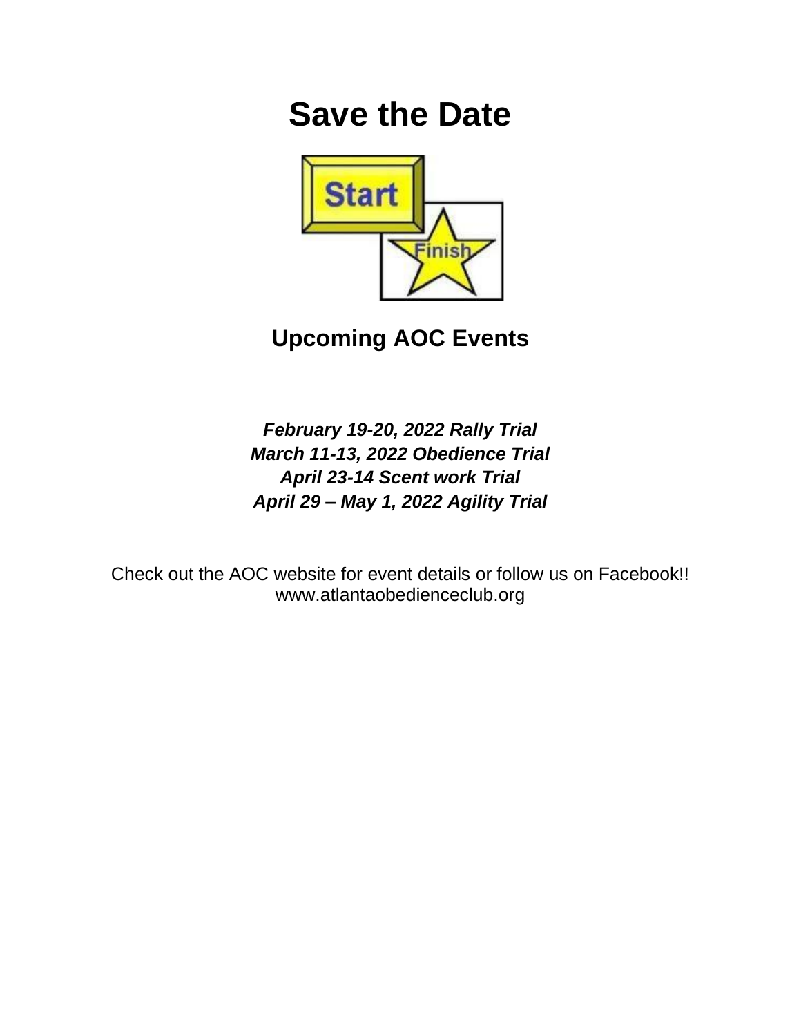# **Save the Date**



# **Upcoming AOC Events**

*February 19-20, 2022 Rally Trial March 11-13, 2022 Obedience Trial April 23-14 Scent work Trial April 29 – May 1, 2022 Agility Trial*

Check out the AOC website for event details or follow us on Facebook!! www.atlantaobedienceclub.org